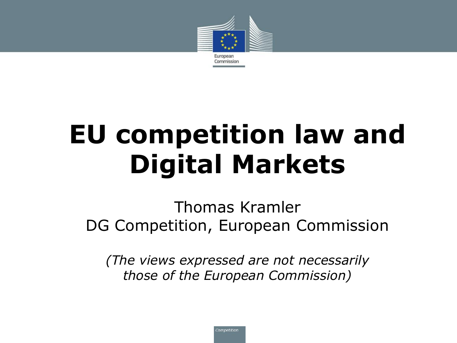

# **EU competition law and Digital Markets**

Thomas Kramler DG Competition, European Commission

*(The views expressed are not necessarily those of the European Commission)*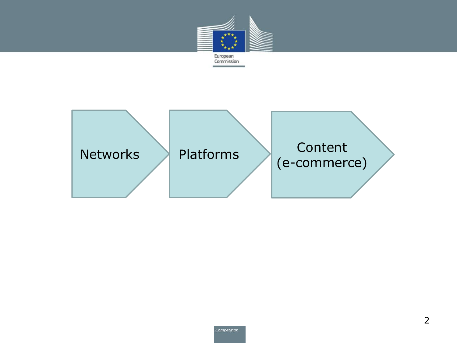

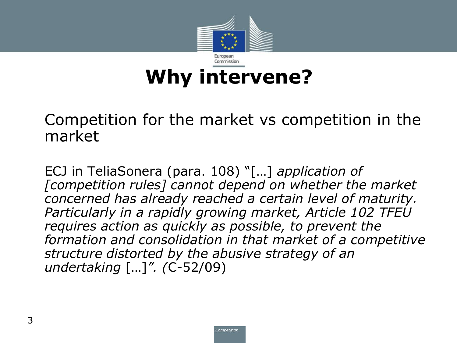

• Competition for the market vs competition in the market

• ECJ in TeliaSonera (para. 108) "[…] *application of [competition rules] cannot depend on whether the market concerned has already reached a certain level of maturity. Particularly in a rapidly growing market, Article 102 TFEU requires action as quickly as possible, to prevent the formation and consolidation in that market of a competitive structure distorted by the abusive strategy of an undertaking* […]*". (*C-52/09)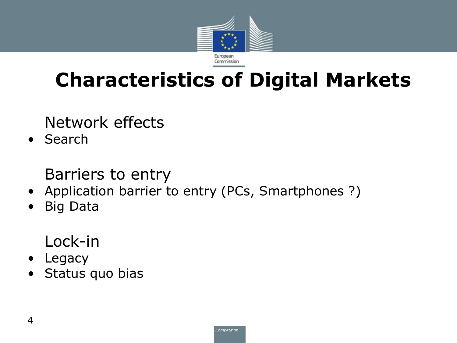

## **Characteristics of Digital Markets**

• Network effects

• Search

• Barriers to entry

- Application barrier to entry (PCs, Smartphones ?)
- Big Data

• Lock-in

- Legacy
- Status quo bias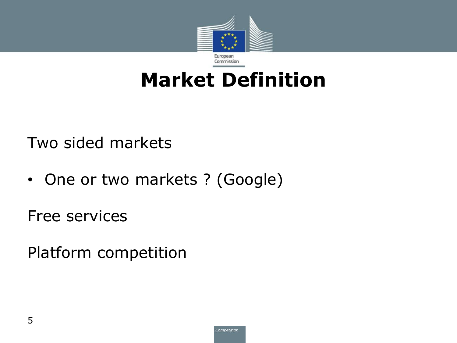

## **Market Definition**

Two sided markets

• One or two markets ? (Google)

Free services

Platform competition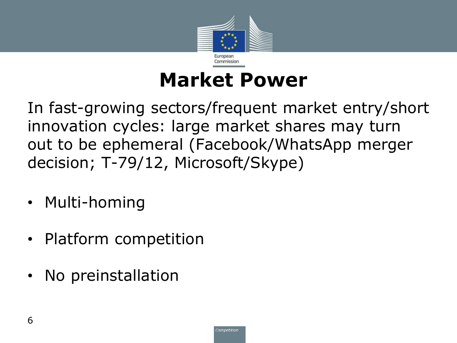

## **Market Power**

In fast-growing sectors/frequent market entry/short innovation cycles: large market shares may turn out to be ephemeral (Facebook/WhatsApp merger decision; T-79/12, Microsoft/Skype)

- Multi-homing
- Platform competition
- No preinstallation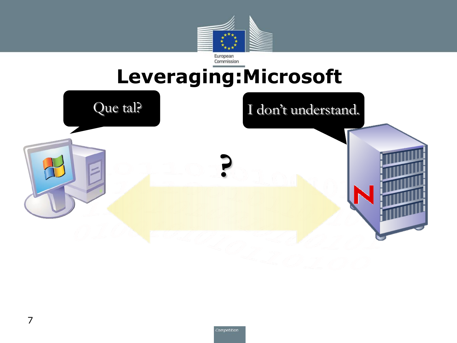

# **Leveraging:Microsoft**

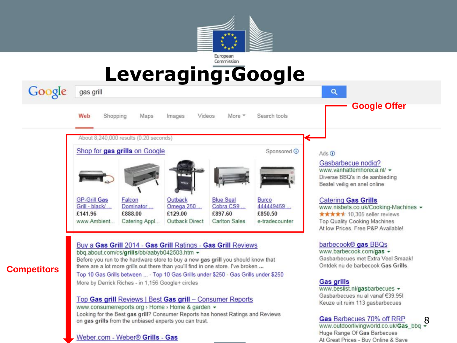

#### **Leveraging:Google**

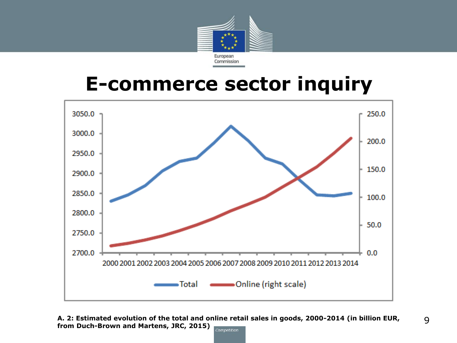

#### **E-commerce sector inquiry**



**A. 2: Estimated evolution of the total and online retail sales in goods, 2000-2014 (in billion EUR, from Duch-Brown and Martens, JRC, 2015)**Competition

9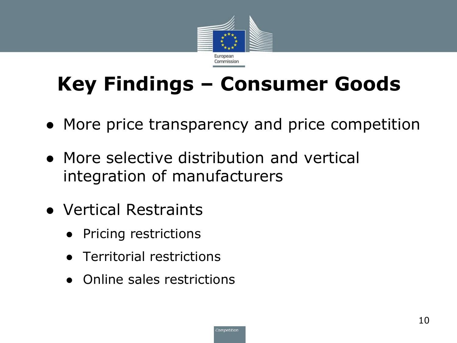

# **Key Findings – Consumer Goods**

- More price transparency and price competition
- More selective distribution and vertical integration of manufacturers
- Vertical Restraints
	- Pricing restrictions
	- Territorial restrictions
	- Online sales restrictions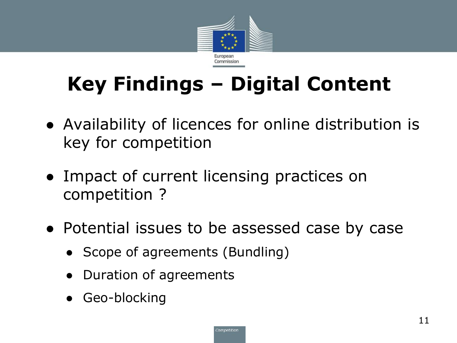

# **Key Findings – Digital Content**

- Availability of licences for online distribution is key for competition
- Impact of current licensing practices on competition ?
- Potential issues to be assessed case by case
	- Scope of agreements (Bundling)
	- Duration of agreements
	- Geo-blocking